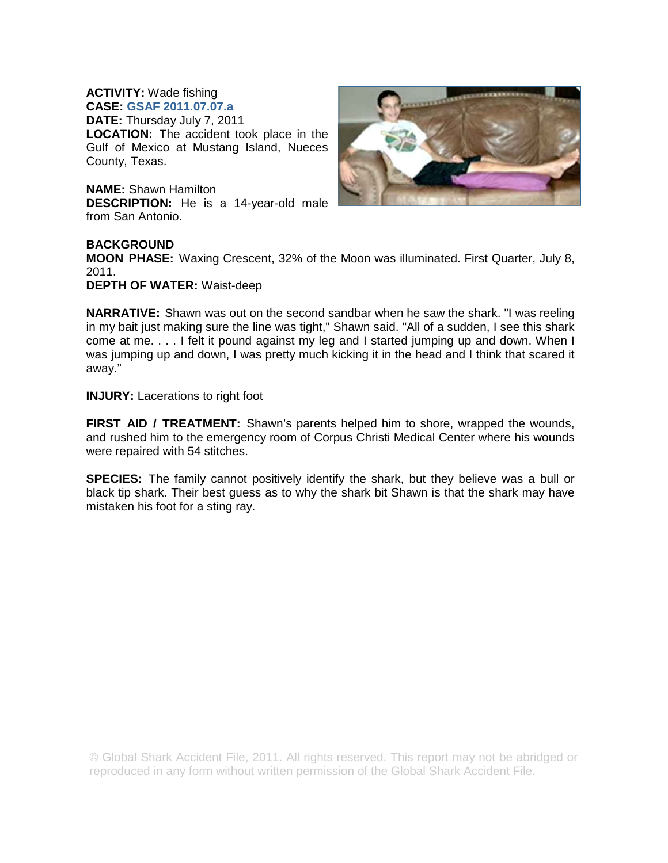## **ACTIVITY:** Wade fishing **CASE: GSAF 2011.07.07.a**

**DATE:** Thursday July 7, 2011 **LOCATION:** The accident took place in the Gulf of Mexico at Mustang Island, Nueces County, Texas.

**NAME:** Shawn Hamilton **DESCRIPTION:** He is a 14-year-old male from San Antonio.



## **BACKGROUND**

**MOON PHASE:** Waxing Crescent, 32% of the Moon was illuminated. First Quarter, July 8, 2011.

**DEPTH OF WATER:** Waist-deep

**NARRATIVE:** Shawn was out on the second sandbar when he saw the shark. "I was reeling in my bait just making sure the line was tight," Shawn said. "All of a sudden, I see this shark come at me. . . . I felt it pound against my leg and I started jumping up and down. When I was jumping up and down, I was pretty much kicking it in the head and I think that scared it away."

**INJURY:** Lacerations to right foot

**FIRST AID / TREATMENT:** Shawn's parents helped him to shore, wrapped the wounds, and rushed him to the emergency room of Corpus Christi Medical Center where his wounds were repaired with 54 stitches.

**SPECIES:** The family cannot positively identify the shark, but they believe was a bull or black tip shark. Their best guess as to why the shark bit Shawn is that the shark may have mistaken his foot for a sting ray.

© Global Shark Accident File, 2011. All rights reserved. This report may not be abridged or reproduced in any form without written permission of the Global Shark Accident File.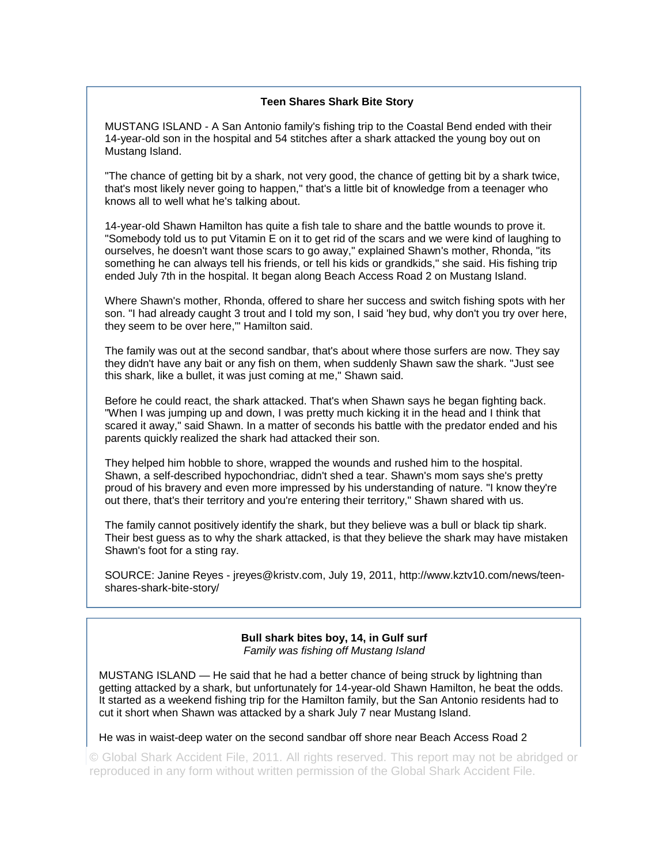## **Teen Shares Shark Bite Story**

MUSTANG ISLAND - A San Antonio family's fishing trip to the Coastal Bend ended with their 14-year-old son in the hospital and 54 stitches after a shark attacked the young boy out on Mustang Island.

"The chance of getting bit by a shark, not very good, the chance of getting bit by a shark twice, that's most likely never going to happen," that's a little bit of knowledge from a teenager who knows all to well what he's talking about.

14-year-old Shawn Hamilton has quite a fish tale to share and the battle wounds to prove it. "Somebody told us to put Vitamin E on it to get rid of the scars and we were kind of laughing to ourselves, he doesn't want those scars to go away," explained Shawn's mother, Rhonda, "its something he can always tell his friends, or tell his kids or grandkids," she said. His fishing trip ended July 7th in the hospital. It began along Beach Access Road 2 on Mustang Island.

Where Shawn's mother, Rhonda, offered to share her success and switch fishing spots with her son. "I had already caught 3 trout and I told my son, I said 'hey bud, why don't you try over here, they seem to be over here,'" Hamilton said.

The family was out at the second sandbar, that's about where those surfers are now. They say they didn't have any bait or any fish on them, when suddenly Shawn saw the shark. "Just see this shark, like a bullet, it was just coming at me," Shawn said.

Before he could react, the shark attacked. That's when Shawn says he began fighting back. "When I was jumping up and down, I was pretty much kicking it in the head and I think that scared it away," said Shawn. In a matter of seconds his battle with the predator ended and his parents quickly realized the shark had attacked their son.

They helped him hobble to shore, wrapped the wounds and rushed him to the hospital. Shawn, a self-described hypochondriac, didn't shed a tear. Shawn's mom says she's pretty proud of his bravery and even more impressed by his understanding of nature. "I know they're out there, that's their territory and you're entering their territory," Shawn shared with us.

The family cannot positively identify the shark, but they believe was a bull or black tip shark. Their best guess as to why the shark attacked, is that they believe the shark may have mistaken Shawn's foot for a sting ray.

SOURCE: Janine Reyes - jreyes@kristv.com, July 19, 2011, http://www.kztv10.com/news/teenshares-shark-bite-story/

> **Bull shark bites boy, 14, in Gulf surf**  *Family was fishing off Mustang Island*

MUSTANG ISLAND — He said that he had a better chance of being struck by lightning than getting attacked by a shark, but unfortunately for 14-year-old Shawn Hamilton, he beat the odds. It started as a weekend fishing trip for the Hamilton family, but the San Antonio residents had to cut it short when Shawn was attacked by a shark July 7 near Mustang Island.

He was in waist-deep water on the second sandbar off shore near Beach Access Road 2

© Global Shark Accident File, 2011. All rights reserved. This report may not be abridged or reproduced in any form without written permission of the Global Shark Accident File.